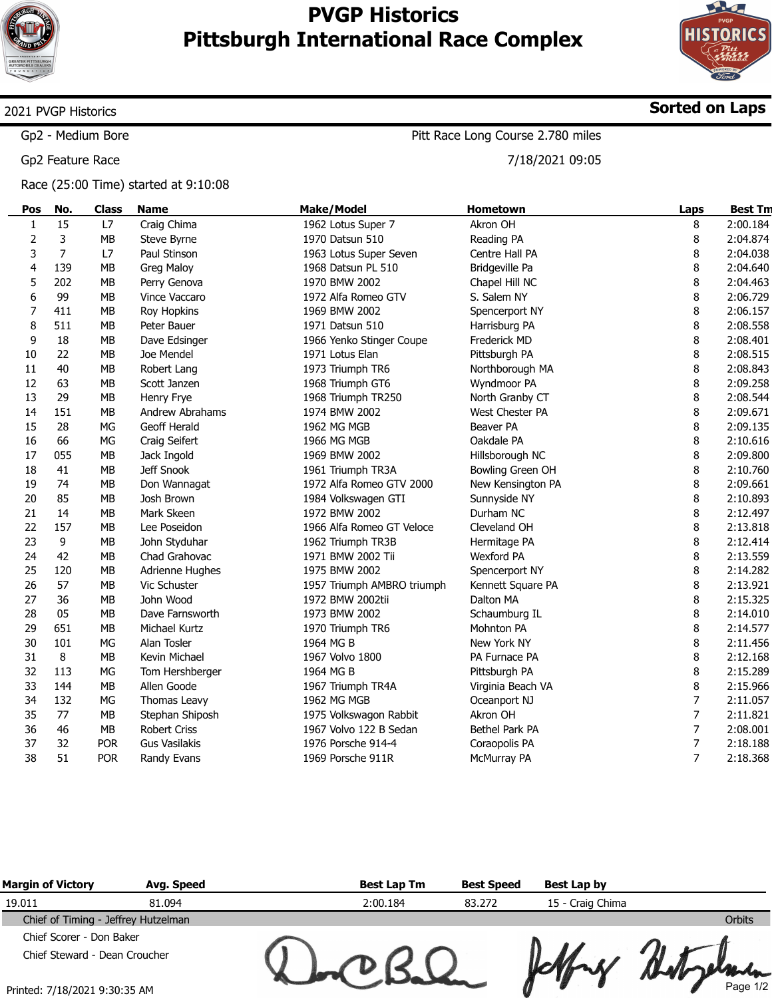

 $\overline{\phantom{a}}$ 

## PVGP Historics Pittsburgh International Race Complex



Sorted on Laps

## 2021 PVGP Historics

Gp2 - Medium Bore

Gp2 Feature Race

Race (25:00 Time) started at 9:10:08

Pitt Race Long Course 2.780 miles

7/18/2021 09:05

| Pos          | No. | <b>Class</b> | <b>Name</b>          | <b>Make/Model</b>          | Hometown               | Laps | <b>Best Tm</b> |
|--------------|-----|--------------|----------------------|----------------------------|------------------------|------|----------------|
| $\mathbf{1}$ | 15  | L7           | Craig Chima          | 1962 Lotus Super 7         | Akron OH               | 8    | 2:00.184       |
| $\mathbf 2$  | 3   | <b>MB</b>    | Steve Byrne          | 1970 Datsun 510            | Reading PA             | 8    | 2:04.874       |
| 3            | 7   | L7           | Paul Stinson         | 1963 Lotus Super Seven     | Centre Hall PA         | 8    | 2:04.038       |
| 4            | 139 | <b>MB</b>    | Greg Maloy           | 1968 Datsun PL 510         | Bridgeville Pa         | 8    | 2:04.640       |
| 5            | 202 | MB           | Perry Genova         | 1970 BMW 2002              | Chapel Hill NC         | 8    | 2:04.463       |
| 6            | 99  | <b>MB</b>    | Vince Vaccaro        | 1972 Alfa Romeo GTV        | S. Salem NY            | 8    | 2:06.729       |
| 7            | 411 | MB           | Roy Hopkins          | 1969 BMW 2002              | Spencerport NY         | 8    | 2:06.157       |
| 8            | 511 | MВ           | Peter Bauer          | 1971 Datsun 510            | Harrisburg PA          | 8    | 2:08.558       |
| 9            | 18  | <b>MB</b>    | Dave Edsinger        | 1966 Yenko Stinger Coupe   | <b>Frederick MD</b>    | 8    | 2:08.401       |
| 10           | 22  | <b>MB</b>    | Joe Mendel           | 1971 Lotus Elan            | Pittsburgh PA          | 8    | 2:08.515       |
| 11           | 40  | <b>MB</b>    | Robert Lang          | 1973 Triumph TR6           | Northborough MA        | 8    | 2:08.843       |
| 12           | 63  | <b>MB</b>    | Scott Janzen         | 1968 Triumph GT6           | Wyndmoor PA            | 8    | 2:09.258       |
| 13           | 29  | MB           | Henry Frye           | 1968 Triumph TR250         | North Granby CT        | 8    | 2:08.544       |
| 14           | 151 | <b>MB</b>    | Andrew Abrahams      | 1974 BMW 2002              | <b>West Chester PA</b> | 8    | 2:09.671       |
| 15           | 28  | <b>MG</b>    | Geoff Herald         | 1962 MG MGB                | Beaver PA              | 8    | 2:09.135       |
| 16           | 66  | MG           | Craig Seifert        | 1966 MG MGB                | Oakdale PA             | 8    | 2:10.616       |
| 17           | 055 | МB           | Jack Ingold          | 1969 BMW 2002              | Hillsborough NC        | 8    | 2:09.800       |
| 18           | 41  | MВ           | Jeff Snook           | 1961 Triumph TR3A          | Bowling Green OH       | 8    | 2:10.760       |
| 19           | 74  | MB           | Don Wannagat         | 1972 Alfa Romeo GTV 2000   | New Kensington PA      | 8    | 2:09.661       |
| 20           | 85  | <b>MB</b>    | Josh Brown           | 1984 Volkswagen GTI        | Sunnyside NY           | 8    | 2:10.893       |
| 21           | 14  | <b>MB</b>    | Mark Skeen           | 1972 BMW 2002              | Durham NC              | 8    | 2:12.497       |
| 22           | 157 | MB           | Lee Poseidon         | 1966 Alfa Romeo GT Veloce  | Cleveland OH           | 8    | 2:13.818       |
| 23           | 9   | MB           | John Styduhar        | 1962 Triumph TR3B          | Hermitage PA           | 8    | 2:12.414       |
| 24           | 42  | <b>MB</b>    | Chad Grahovac        | 1971 BMW 2002 Tii          | <b>Wexford PA</b>      | 8    | 2:13.559       |
| 25           | 120 | <b>MB</b>    | Adrienne Hughes      | 1975 BMW 2002              | Spencerport NY         | 8    | 2:14.282       |
| 26           | 57  | <b>MB</b>    | Vic Schuster         | 1957 Triumph AMBRO triumph | Kennett Square PA      | 8    | 2:13.921       |
| 27           | 36  | MB           | John Wood            | 1972 BMW 2002tii           | Dalton MA              | 8    | 2:15.325       |
| 28           | 05  | MB           | Dave Farnsworth      | 1973 BMW 2002              | Schaumburg IL          | 8    | 2:14.010       |
| 29           | 651 | <b>MB</b>    | Michael Kurtz        | 1970 Triumph TR6           | Mohnton PA             | 8    | 2:14.577       |
| 30           | 101 | MG           | Alan Tosler          | 1964 MG B                  | New York NY            | 8    | 2:11.456       |
| 31           | 8   | <b>MB</b>    | Kevin Michael        | 1967 Volvo 1800            | PA Furnace PA          | 8    | 2:12.168       |
| 32           | 113 | <b>MG</b>    | Tom Hershberger      | 1964 MG B                  | Pittsburgh PA          | 8    | 2:15.289       |
| 33           | 144 | MB           | Allen Goode          | 1967 Triumph TR4A          | Virginia Beach VA      | 8    | 2:15.966       |
| 34           | 132 | MG           | Thomas Leavy         | 1962 MG MGB                | Oceanport NJ           | 7    | 2:11.057       |
| 35           | 77  | MB           | Stephan Shiposh      | 1975 Volkswagon Rabbit     | Akron OH               | 7    | 2:11.821       |
| 36           | 46  | MB           | <b>Robert Criss</b>  | 1967 Volvo 122 B Sedan     | Bethel Park PA         | 7    | 2:08.001       |
| 37           | 32  | <b>POR</b>   | <b>Gus Vasilakis</b> | 1976 Porsche 914-4         | Coraopolis PA          | 7    | 2:18.188       |
| 38           | 51  | <b>POR</b>   | Randy Evans          | 1969 Porsche 911R          | McMurray PA            | 7    | 2:18.368       |

| <b>Margin of Victory</b>            | Avg. Speed | <b>Best Lap Tm</b> | <b>Best Speed</b> | Best Lap by      |          |
|-------------------------------------|------------|--------------------|-------------------|------------------|----------|
| 19.011                              | 81.094     | 2:00.184           | 83.272            | 15 - Craig Chima |          |
| Chief of Timing - Jeffrey Hutzelman |            |                    |                   |                  | Orbits   |
| Chief Scorer - Don Baker            |            |                    |                   |                  |          |
| Chief Steward - Dean Croucher       |            |                    |                   |                  |          |
| Printed: 7/18/2021 9:30:35 AM       |            |                    |                   |                  | Page 1/2 |

Printed: 7/18/2021 9:30:35 AM